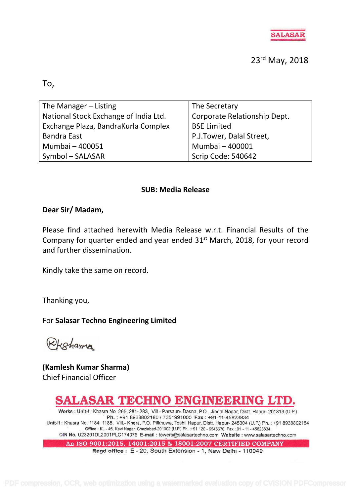

23rd May, 2018

To,

| The Manager – Listing                 | The Secretary                |
|---------------------------------------|------------------------------|
| National Stock Exchange of India Ltd. | Corporate Relationship Dept. |
| Exchange Plaza, BandraKurla Complex   | <b>BSE Limited</b>           |
| <b>Bandra East</b>                    | P.J.Tower, Dalal Street,     |
| Mumbai - 400051                       | Mumbai - 400001              |
| Symbol - SALASAR                      | Scrip Code: 540642           |

### **SUB: Media Release**

### **Dear Sir/ Madam,**

Please find attached herewith Media Release w.r.t. Financial Results of the Company for quarter ended and year ended  $31<sup>st</sup>$  March, 2018, for your record and further dissemination.

Kindly take the same on record.

Thanking you,

For **Salasar Techno Engineering Limited**

Rkshama

**(Kamlesh Kumar Sharma)** Chief Financial Officer

# SALASAR TECHNO ENGINEERING LTD.

Works : Unit-I : Khasra No. 265, 281- 283, Vill.- Parsaun- Dasna, P.O.- Jindal Nagar, Distt. Hapur- 201313 (U.P.) Ph.: +91 8938802180 / 7351991000 Fax: +91-11-45823834 Unit-II : Khasra No. 1184, 1185, Vill.- Khera, P.O. Pilkhuwa, Teshil Hapur, Distt. Hapur- 245304 (U.P.) Ph.: +91 8938802184 Office: KL-46, Kavi Nagar, Ghaziabad-201002 (U.P.) Ph. :+91 120 - 6546670, Fax: 91 - 11 - 45823834 CIN No. U23201DL2001PLC174076 E-mail : towers@salasartechno.com Website : www.salasartechno.com

An ISO 9001:2015, 14001:2015 & 18001:2007 CERTIFIED COMPANY

Regd office: E - 20, South Extension - 1, New Delhi - 110049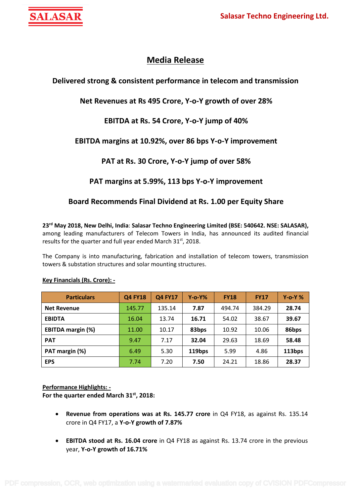

## **Media Release**

### **Delivered strong & consistent performance in telecom and transmission**

### **Net Revenues at Rs 495 Crore, Y-o-Y growth of over 28%**

### **EBITDA at Rs. 54 Crore, Y-o-Y jump of 40%**

### **EBITDA margins at 10.92%, over 86 bps Y-o-Y improvement**

### **PAT at Rs. 30 Crore, Y-o-Y jump of over 58%**

### **PAT margins at 5.99%, 113 bps Y-o-Y improvement**

### **Board Recommends Final Dividend at Rs. 1.00 per Equity Share**

**23 rd May 2018, New Delhi, India**: **Salasar Techno Engineering Limited (BSE: 540642. NSE: SALASAR),** among leading manufacturers of Telecom Towers in India, has announced its audited financial results for the quarter and full year ended March 31st, 2018.

The Company is into manufacturing, fabrication and installation of telecom towers, transmission towers & substation structures and solar mounting structures.

| <b>Particulars</b>       | <b>Q4 FY18</b> | <b>Q4 FY17</b> | $Y$ -0- $Y\%$ | <b>FY18</b> | <b>FY17</b> | $Y$ -o-Y % |
|--------------------------|----------------|----------------|---------------|-------------|-------------|------------|
| <b>Net Revenue</b>       | 145.77         | 135.14         | 7.87          | 494.74      | 384.29      | 28.74      |
| <b>EBIDTA</b>            | 16.04          | 13.74          | 16.71         | 54.02       | 38.67       | 39.67      |
| <b>EBITDA margin (%)</b> | 11.00          | 10.17          | 83bps         | 10.92       | 10.06       | 86bps      |
| <b>PAT</b>               | 9.47           | 7.17           | 32.04         | 29.63       | 18.69       | 58.48      |
| PAT margin (%)           | 6.49           | 5.30           | 119bps        | 5.99        | 4.86        | 113bps     |
| <b>EPS</b>               | 7.74           | 7.20           | 7.50          | 24.21       | 18.86       | 28.37      |

#### **Key Financials (Rs. Crore): -**

**Performance Highlights: -**

**For the quarter ended March 31 st, 2018:**

- **Revenue from operations was at Rs. 145.77 crore** in Q4 FY18, as against Rs. 135.14 crore in Q4 FY17, a **Y-o-Y growth of 7.87%**
- **EBITDA stood at Rs. 16.04 crore** in Q4 FY18 as against Rs. 13.74 crore in the previous year, **Y-o-Y growth of 16.71%**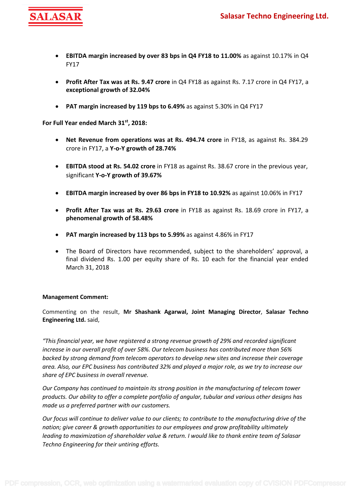

- **EBITDA margin increased by over 83 bps in Q4 FY18 to 11.00%** as against 10.17% in Q4 FY17
- **Profit After Tax was at Rs. 9.47 crore** in Q4 FY18 as against Rs. 7.17 crore in Q4 FY17, a **exceptional growth of 32.04%**
- **PAT margin increased by 119 bps to 6.49%** as against 5.30% in Q4 FY17

**For Full Year ended March 31 st, 2018:**

- **Net Revenue from operations was at Rs. 494.74 crore** in FY18, as against Rs. 384.29 crore in FY17, a **Y-o-Y growth of 28.74%**
- **EBITDA stood at Rs. 54.02 crore** in FY18 as against Rs. 38.67 crore in the previous year, significant **Y-o-Y growth of 39.67%**
- **EBITDA margin increased by over 86 bps in FY18 to 10.92%** as against 10.06% in FY17
- **Profit After Tax was at Rs. 29.63 crore** in FY18 as against Rs. 18.69 crore in FY17, a **phenomenal growth of 58.48%**
- **PAT margin increased by 113 bps to 5.99%** as against 4.86% in FY17
- The Board of Directors have recommended, subject to the shareholders' approval, a final dividend Rs. 1.00 per equity share of Rs. 10 each for the financial year ended March 31, 2018

#### **Management Comment:**

Commenting on the result, **Mr Shashank Agarwal, Joint Managing Director**, **Salasar Techno Engineering Ltd.** said,

*"This financial year, we have registered a strong revenue growth of 29% and recorded significant increase in our overall profit of over 58%. Our telecom business has contributed more than 56% backed by strong demand from telecom operators to develop new sites and increase their coverage area. Also, our EPC business has contributed 32% and played a major role, as we try to increase our share of EPC business in overall revenue.*

*Our Company has continued to maintain its strong position in the manufacturing of telecom tower products. Our ability to offer a complete portfolio of angular, tubular and various other designs has made us a preferred partner with our customers.*

*Our focus will continue to deliver value to our clients; to contribute to the manufacturing drive of the nation; give career & growth opportunities to our employees and grow profitability ultimately leading to maximization of shareholder value & return. I would like to thank entire team of Salasar Techno Engineering for their untiring efforts.*